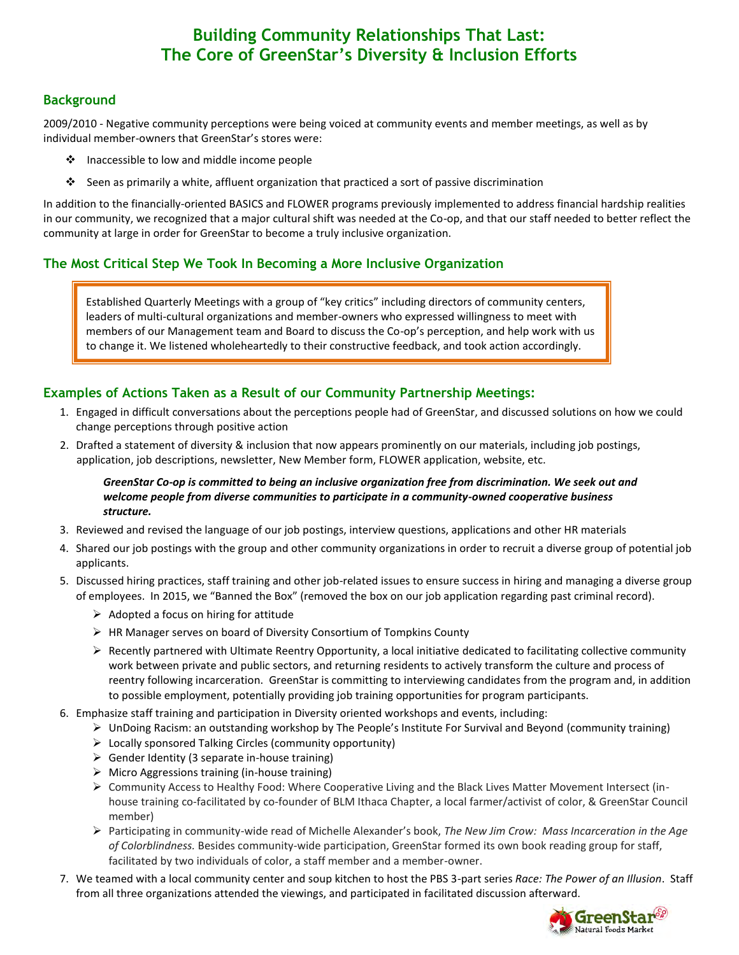# **Building Community Relationships That Last: The Core of GreenStar's Diversity & Inclusion Efforts**

## **Background**

2009/2010 - Negative community perceptions were being voiced at community events and member meetings, as well as by individual member-owners that GreenStar's stores were:

- $\cdot \cdot$  Inaccessible to low and middle income people
- Seen as primarily a white, affluent organization that practiced a sort of passive discrimination

In addition to the financially-oriented BASICS and FLOWER programs previously implemented to address financial hardship realities in our community, we recognized that a major cultural shift was needed at the Co-op, and that our staff needed to better reflect the community at large in order for GreenStar to become a truly inclusive organization.

## **The Most Critical Step We Took In Becoming a More Inclusive Organization**

Established Quarterly Meetings with a group of "key critics" including directors of community centers, leaders of multi-cultural organizations and member-owners who expressed willingness to meet with members of our Management team and Board to discuss the Co-op's perception, and help work with us to change it. We listened wholeheartedly to their constructive feedback, and took action accordingly.

#### **Examples of Actions Taken as a Result of our Community Partnership Meetings:**

- 1. Engaged in difficult conversations about the perceptions people had of GreenStar, and discussed solutions on how we could change perceptions through positive action
- 2. Drafted a statement of diversity & inclusion that now appears prominently on our materials, including job postings, application, job descriptions, newsletter, New Member form, FLOWER application, website, etc.

#### *GreenStar Co-op is committed to being an inclusive organization free from discrimination. We seek out and welcome people from diverse communities to participate in a community-owned cooperative business structure.*

- 3. Reviewed and revised the language of our job postings, interview questions, applications and other HR materials
- 4. Shared our job postings with the group and other community organizations in order to recruit a diverse group of potential job applicants.
- 5. Discussed hiring practices, staff training and other job-related issues to ensure success in hiring and managing a diverse group of employees. In 2015, we "Banned the Box" (removed the box on our job application regarding past criminal record).
	- $\triangleright$  Adopted a focus on hiring for attitude
	- $\triangleright$  HR Manager serves on board of Diversity Consortium of Tompkins County
	- $\triangleright$  Recently partnered with Ultimate Reentry Opportunity, a local initiative dedicated to facilitating collective community work between private and public sectors, and returning residents to actively transform the culture and process of reentry following incarceration. GreenStar is committing to interviewing candidates from the program and, in addition to possible employment, potentially providing job training opportunities for program participants.
- 6. Emphasize staff training and participation in Diversity oriented workshops and events, including:
	- $\triangleright$  UnDoing Racism: an outstanding workshop by The People's Institute For Survival and Beyond (community training)
	- $\triangleright$  Locally sponsored Talking Circles (community opportunity)
	- $\triangleright$  Gender Identity (3 separate in-house training)
	- $\triangleright$  Micro Aggressions training (in-house training)
	- Community Access to Healthy Food: Where Cooperative Living and the Black Lives Matter Movement Intersect (inhouse training co-facilitated by co-founder of BLM Ithaca Chapter, a local farmer/activist of color, & GreenStar Council member)
	- Participating in community-wide read of Michelle Alexander's book, *The New Jim Crow: Mass Incarceration in the Age of Colorblindness.* Besides community-wide participation, GreenStar formed its own book reading group for staff, facilitated by two individuals of color, a staff member and a member-owner.
- 7. We teamed with a local community center and soup kitchen to host the PBS 3-part series *Race: The Power of an Illusion*. Staff from all three organizations attended the viewings, and participated in facilitated discussion afterward.